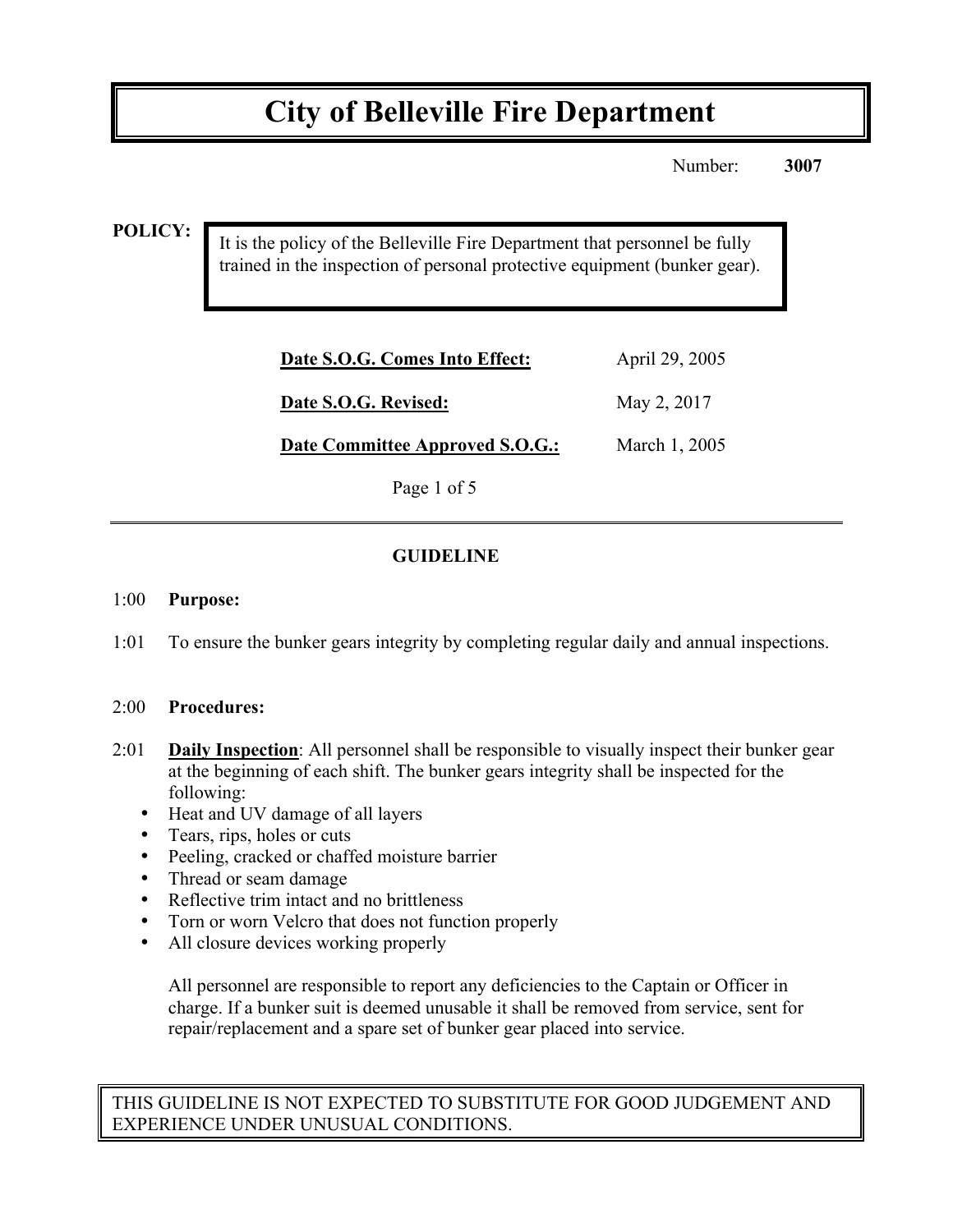## **City of Belleville Fire Department**

Number: **3007**

#### **POLICY:**

It is the policy of the Belleville Fire Department that personnel be fully trained in the inspection of personal protective equipment (bunker gear).

| Date S.O.G. Comes Into Effect:  | April 29, 2005 |
|---------------------------------|----------------|
| Date S.O.G. Revised:            | May 2, 2017    |
| Date Committee Approved S.O.G.: | March 1, 2005  |

Page 1 of 5

## **GUIDELINE**

#### 1:00 **Purpose:**

1:01 To ensure the bunker gears integrity by completing regular daily and annual inspections.

#### 2:00 **Procedures:**

- 2:01 **Daily Inspection**: All personnel shall be responsible to visually inspect their bunker gear at the beginning of each shift. The bunker gears integrity shall be inspected for the following:
	- Heat and UV damage of all layers
	- Tears, rips, holes or cuts
	- Peeling, cracked or chaffed moisture barrier
	- Thread or seam damage
	- Reflective trim intact and no brittleness
	- Torn or worn Velcro that does not function properly
	- All closure devices working properly

All personnel are responsible to report any deficiencies to the Captain or Officer in charge. If a bunker suit is deemed unusable it shall be removed from service, sent for repair/replacement and a spare set of bunker gear placed into service.

THIS GUIDELINE IS NOT EXPECTED TO SUBSTITUTE FOR GOOD JUDGEMENT AND EXPERIENCE UNDER UNUSUAL CONDITIONS.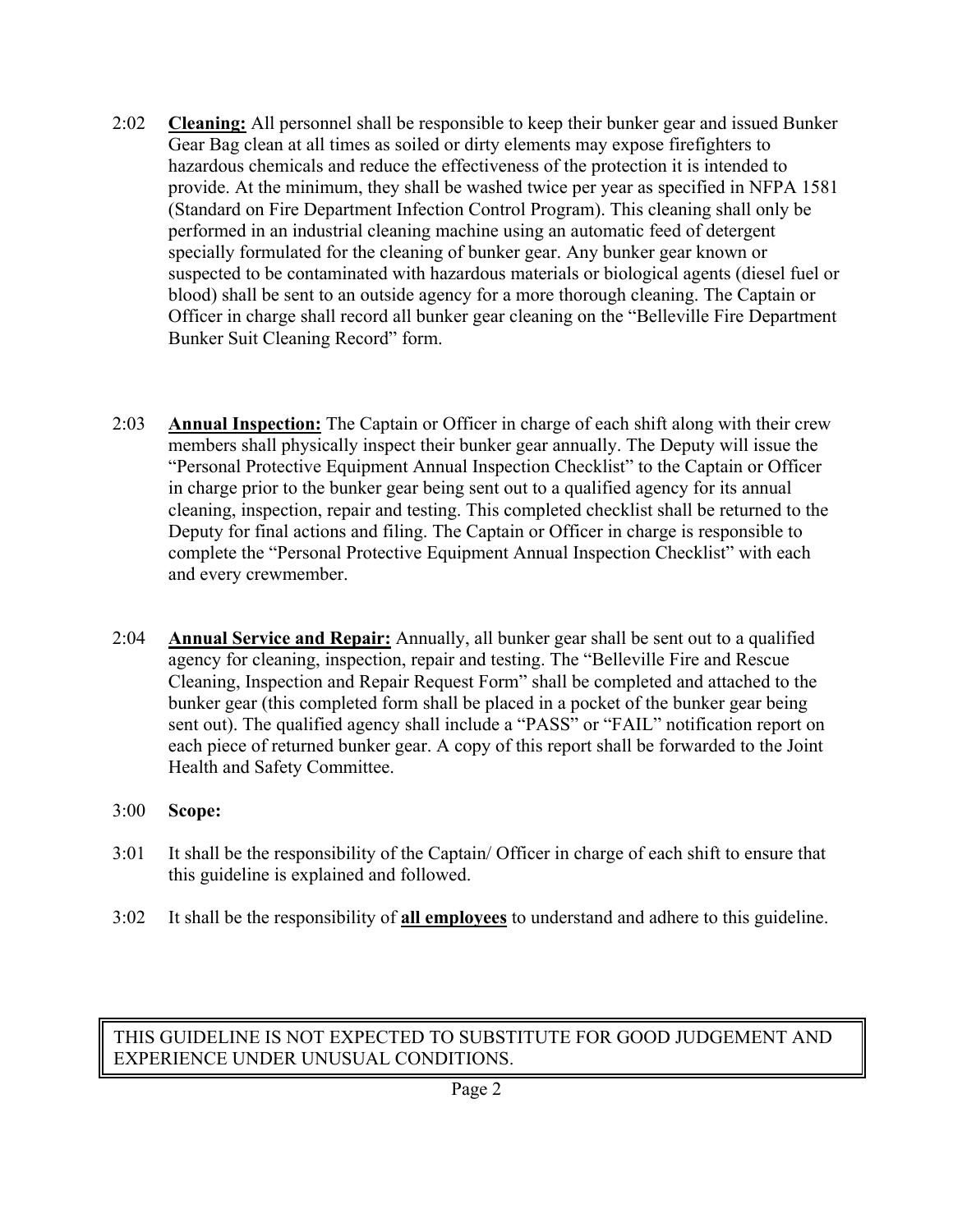- 2:02 **Cleaning:** All personnel shall be responsible to keep their bunker gear and issued Bunker Gear Bag clean at all times as soiled or dirty elements may expose firefighters to hazardous chemicals and reduce the effectiveness of the protection it is intended to provide. At the minimum, they shall be washed twice per year as specified in NFPA 1581 (Standard on Fire Department Infection Control Program). This cleaning shall only be performed in an industrial cleaning machine using an automatic feed of detergent specially formulated for the cleaning of bunker gear. Any bunker gear known or suspected to be contaminated with hazardous materials or biological agents (diesel fuel or blood) shall be sent to an outside agency for a more thorough cleaning. The Captain or Officer in charge shall record all bunker gear cleaning on the "Belleville Fire Department Bunker Suit Cleaning Record" form.
- 2:03 **Annual Inspection:** The Captain or Officer in charge of each shift along with their crew members shall physically inspect their bunker gear annually. The Deputy will issue the "Personal Protective Equipment Annual Inspection Checklist" to the Captain or Officer in charge prior to the bunker gear being sent out to a qualified agency for its annual cleaning, inspection, repair and testing. This completed checklist shall be returned to the Deputy for final actions and filing. The Captain or Officer in charge is responsible to complete the "Personal Protective Equipment Annual Inspection Checklist" with each and every crewmember.
- 2:04 **Annual Service and Repair:** Annually, all bunker gear shall be sent out to a qualified agency for cleaning, inspection, repair and testing. The "Belleville Fire and Rescue Cleaning, Inspection and Repair Request Form" shall be completed and attached to the bunker gear (this completed form shall be placed in a pocket of the bunker gear being sent out). The qualified agency shall include a "PASS" or "FAIL" notification report on each piece of returned bunker gear. A copy of this report shall be forwarded to the Joint Health and Safety Committee.
- 3:00 **Scope:**
- 3:01 It shall be the responsibility of the Captain/ Officer in charge of each shift to ensure that this guideline is explained and followed.
- 3:02 It shall be the responsibility of **all employees** to understand and adhere to this guideline.

## THIS GUIDELINE IS NOT EXPECTED TO SUBSTITUTE FOR GOOD JUDGEMENT AND EXPERIENCE UNDER UNUSUAL CONDITIONS.